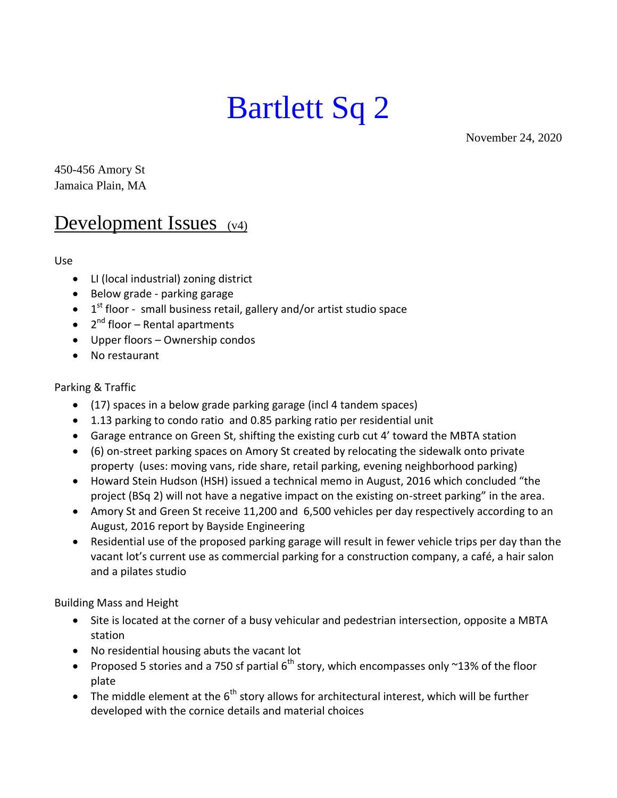# Bartlett Sq 2

November 24, 2020

450-456 Amory St Jamaica Plain, MA

# Development Issues (v4)

Use

- LI (local industrial) zoning district
- Below grade parking garage
- $\bullet$  1<sup>st</sup> floor small business retail, gallery and/or artist studio space
- 2<sup>nd</sup> floor Rental apartments
- Upper floors Ownership condos
- No restaurant

# Parking & Traffic

- (17) spaces in a below grade parking garage (incl 4 tandem spaces)
- 1.13 parking to condo ratio and 0.85 parking ratio per residential unit
- Garage entrance on Green St, shifting the existing curb cut 4' toward the MBTA station
- (6) on-street parking spaces on Amory St created by relocating the sidewalk onto private property (uses: moving vans, ride share, retail parking, evening neighborhood parking)
- Howard Stein Hudson (HSH) issued a technical memo in August, 2016 which concluded "the project (BSq 2) will not have a negative impact on the existing on-street parking" in the area.
- Amory St and Green St receive 11,200 and 6,500 vehicles per day respectively according to an August, 2016 report by Bayside Engineering
- Residential use of the proposed parking garage will result in fewer vehicle trips per day than the vacant lot's current use as commercial parking for a construction company, a café, a hair salon and a pilates studio

Building Mass and Height

- Site is located at the corner of a busy vehicular and pedestrian intersection, opposite a MBTA station
- No residential housing abuts the vacant lot
- Proposed 5 stories and a 750 sf partial  $6<sup>th</sup>$  story, which encompasses only ~13% of the floor plate
- The middle element at the  $6<sup>th</sup>$  story allows for architectural interest, which will be further developed with the cornice details and material choices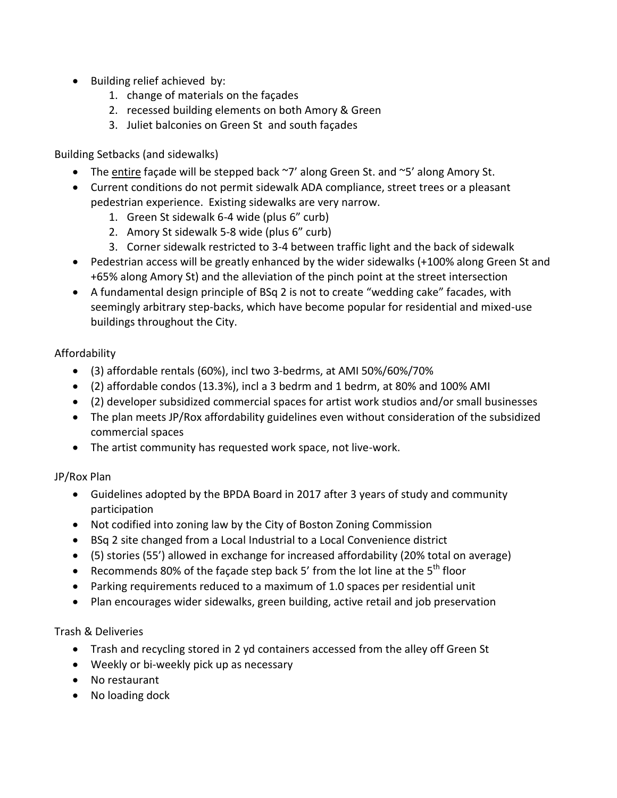- Building relief achieved by:
	- 1. change of materials on the façades
	- 2. recessed building elements on both Amory & Green
	- 3. Juliet balconies on Green St and south façades

Building Setbacks (and sidewalks)

- The entire façade will be stepped back  $\gamma$  along Green St. and  $\gamma$ 5' along Amory St.
- Current conditions do not permit sidewalk ADA compliance, street trees or a pleasant pedestrian experience. Existing sidewalks are very narrow.
	- 1. Green St sidewalk 6-4 wide (plus 6" curb)
	- 2. Amory St sidewalk 5-8 wide (plus 6" curb)
	- 3. Corner sidewalk restricted to 3-4 between traffic light and the back of sidewalk
- Pedestrian access will be greatly enhanced by the wider sidewalks (+100% along Green St and +65% along Amory St) and the alleviation of the pinch point at the street intersection
- A fundamental design principle of BSq 2 is not to create "wedding cake" facades, with seemingly arbitrary step-backs, which have become popular for residential and mixed-use buildings throughout the City.

# Affordability

- (3) affordable rentals (60%), incl two 3-bedrms, at AMI 50%/60%/70%
- (2) affordable condos (13.3%), incl a 3 bedrm and 1 bedrm, at 80% and 100% AMI
- (2) developer subsidized commercial spaces for artist work studios and/or small businesses
- The plan meets JP/Rox affordability guidelines even without consideration of the subsidized commercial spaces
- The artist community has requested work space, not live-work.

# JP/Rox Plan

- Guidelines adopted by the BPDA Board in 2017 after 3 years of study and community participation
- Not codified into zoning law by the City of Boston Zoning Commission
- BSq 2 site changed from a Local Industrial to a Local Convenience district
- (5) stories (55') allowed in exchange for increased affordability (20% total on average)
- **•** Recommends 80% of the façade step back 5' from the lot line at the  $5<sup>th</sup>$  floor
- Parking requirements reduced to a maximum of 1.0 spaces per residential unit
- Plan encourages wider sidewalks, green building, active retail and job preservation

# Trash & Deliveries

- Trash and recycling stored in 2 yd containers accessed from the alley off Green St
- Weekly or bi-weekly pick up as necessary
- No restaurant
- No loading dock